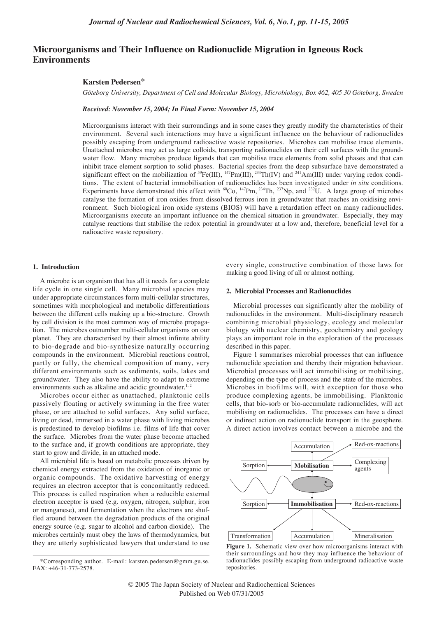# **Microorganisms and Their Influence on Radionuclide Migration in Igneous Rock Environments**

# **Karsten Pedersen\***

*Göteborg University, Department of Cell and Molecular Biology, Microbiology, Box 462, 405 30 Göteborg, Sweden*

*Received: November 15, 2004; In Final Form: November 15, 2004*

Microorganisms interact with their surroundings and in some cases they greatly modify the characteristics of their environment. Several such interactions may have a significant influence on the behaviour of radionuclides possibly escaping from underground radioactive waste repositories. Microbes can mobilise trace elements. Unattached microbes may act as large colloids, transporting radionuclides on their cell surfaces with the groundwater flow. Many microbes produce ligands that can mobilise trace elements from solid phases and that can inhibit trace element sorption to solid phases. Bacterial species from the deep subsurface have demonstrated a significant effect on the mobilization of <sup>59</sup>Fe(III), <sup>147</sup>Pm(III), <sup>234</sup>Th(IV) and <sup>241</sup>Am(III) under varying redox conditions. The extent of bacterial immobilisation of radionuclides has been investigated under *in situ* conditions. Experiments have demonstrated this effect with  ${}^{60}Co$ ,  ${}^{147}Pm$ ,  ${}^{234}Th$ ,  ${}^{237}Np$ , and  ${}^{232}U$ . A large group of microbes catalyse the formation of iron oxides from dissolved ferrous iron in groundwater that reaches an oxidising environment. Such biological iron oxide systems (BIOS) will have a retardation effect on many radionuclides. Microorganisms execute an important influence on the chemical situation in groundwater. Especially, they may catalyse reactions that stabilise the redox potential in groundwater at a low and, therefore, beneficial level for a radioactive waste repository.

### **1. Introduction**

A microbe is an organism that has all it needs for a complete life cycle in one single cell. Many microbial species may under appropriate circumstances form multi-cellular structures, sometimes with morphological and metabolic differentiations between the different cells making up a bio-structure. Growth by cell division is the most common way of microbe propagation. The microbes outnumber multi-cellular organisms on our planet. They are characterised by their almost infinite ability to bio-degrade and bio-synthesize naturally occurring compounds in the environment. Microbial reactions control, partly or fully, the chemical composition of many, very different environments such as sediments, soils, lakes and groundwater. They also have the ability to adapt to extreme environments such as alkaline and acidic groundwater.<sup>1, 2</sup>

Microbes occur either as unattached, planktonic cells passively floating or actively swimming in the free water phase, or are attached to solid surfaces. Any solid surface, living or dead, immersed in a water phase with living microbes is predestined to develop biofilms i.e. films of life that cover the surface. Microbes from the water phase become attached to the surface and, if growth conditions are appropriate, they start to grow and divide, in an attached mode.

All microbial life is based on metabolic processes driven by chemical energy extracted from the oxidation of inorganic or organic compounds. The oxidative harvesting of energy requires an electron acceptor that is concomitantly reduced. This process is called respiration when a reducible external electron acceptor is used (e.g. oxygen, nitrogen, sulphur, iron or manganese), and fermentation when the electrons are shuffled around between the degradation products of the original energy source (e.g. sugar to alcohol and carbon dioxide). The microbes certainly must obey the laws of thermodynamics, but they are utterly sophisticated lawyers that understand to use every single, constructive combination of those laws for making a good living of all or almost nothing.

### **2. Microbial Processes and Radionuclides**

Microbial processes can significantly alter the mobility of radionuclides in the environment. Multi-disciplinary research combining microbial physiology, ecology and molecular biology with nuclear chemistry, geochemistry and geology plays an important role in the exploration of the processes described in this paper.

Figure 1 summarises microbial processes that can influence radionuclide speciation and thereby their migration behaviour. Microbial processes will act immobilising or mobilising, depending on the type of process and the state of the microbes. Microbes in biofilms will, with exception for those who produce complexing agents, be immobilising. Planktonic cells, that bio-sorb or bio-accumulate radionuclides, will act mobilising on radionuclides. The processes can have a direct or indirect action on radionuclide transport in the geosphere. A direct action involves contact between a microbe and the



**Figure 1.** Schematic view over how microorganisms interact with their surroundings and how they may influence the behaviour of radionuclides possibly escaping from underground radioactive waste repositories.

<sup>\*</sup>Corresponding author. E-mail: karsten.pedersen@gmm.gu.se. FAX: +46-31-773-2578.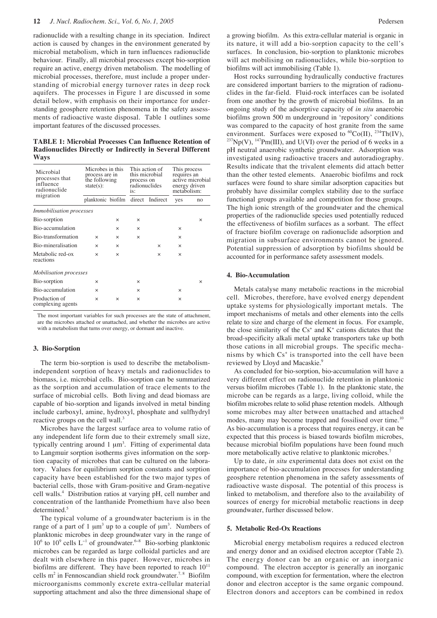radionuclide with a resulting change in its speciation. Indirect action is caused by changes in the environment generated by microbial metabolism, which in turn influences radionuclide behaviour. Finally, all microbial processes except bio-sorption require an active, energy driven metabolism. The modelling of microbial processes, therefore, must include a proper understanding of microbial energy turnover rates in deep rock aquifers. The processes in Figure 1 are discussed in some detail below, with emphasis on their importance for understanding geosphere retention phenomena in the safety assessments of radioactive waste disposal. Table 1 outlines some important features of the discussed processes.

**TABLE 1: Microbial Processes Can Influence Retention of Radionuclides Directly or Indirectly in Several Different Ways**

| Microbial<br>processes that<br>influence<br>radionuclide | Microbes in this<br>process are in<br>the following<br>$state(s)$ : |          | This action of<br>this microbial<br>process on<br>radionuclides<br>is: |          | This process<br>requires an<br>active microbial<br>energy driven<br>metabolism: |          |
|----------------------------------------------------------|---------------------------------------------------------------------|----------|------------------------------------------------------------------------|----------|---------------------------------------------------------------------------------|----------|
| migration                                                | planktonic biofilm direct Indirect                                  |          |                                                                        |          | yes                                                                             | no       |
| Immobilisation processes                                 |                                                                     |          |                                                                        |          |                                                                                 |          |
| Bio-sorption                                             |                                                                     | $\times$ | $\times$                                                               |          |                                                                                 | $\times$ |
| Bio-accumulation                                         |                                                                     | $\times$ | $\times$                                                               |          | $\times$                                                                        |          |
| Bio-transformation                                       | $\times$                                                            | $\times$ | $\times$                                                               |          | $\times$                                                                        |          |
| Bio-mineralisation                                       | $\times$                                                            | $\times$ |                                                                        | $\times$ | $\times$                                                                        |          |
| Metabolic red-ox<br>reactions                            | $\times$                                                            | $\times$ |                                                                        | $\times$ | $\times$                                                                        |          |
| <i>Mobilisation processes</i>                            |                                                                     |          |                                                                        |          |                                                                                 |          |
| Bio-sorption                                             | $\times$                                                            |          | $\times$                                                               |          |                                                                                 | $\times$ |
| Bio-accumulation                                         | $\times$                                                            |          | $\times$                                                               |          | $\times$                                                                        |          |
| Production of<br>complexing agents                       | $\times$                                                            | $\times$ | ×                                                                      |          | $\times$                                                                        |          |

The most important variables for such processes are the state of attachment, are the microbes attached or unattached, and whether the microbes are active with a metabolism that turns over energy, or dormant and inactive.

### **3. Bio-Sorption**

The term bio-sorption is used to describe the metabolismindependent sorption of heavy metals and radionuclides to biomass, i.e. microbial cells. Bio-sorption can be summarized as the sorption and accumulation of trace elements to the surface of microbial cells. Both living and dead biomass are capable of bio-sorption and ligands involved in metal binding include carboxyl, amine, hydroxyl, phosphate and sulfhydryl reactive groups on the cell wall.<sup>3</sup>

Microbes have the largest surface area to volume ratio of any independent life form due to their extremely small size, typically centring around  $1 \mu m^3$ . Fitting of experimental data to Langmuir sorption isotherms gives information on the sorption capacity of microbes that can be cultured on the laboratory. Values for equilibrium sorption constants and sorption capacity have been established for the two major types of bacterial cells, those with Gram-positive and Gram-negative cell walls.<sup>4</sup> Distribution ratios at varying pH, cell number and concentration of the lanthanide Promethium have also been determined.<sup>5</sup>

The typical volume of a groundwater bacterium is in the range of a part of 1  $\mu$ m<sup>3</sup> up to a couple of  $\mu$ m<sup>3</sup>. Numbers of planktonic microbes in deep groundwater vary in the range of  $10<sup>6</sup>$  to  $10<sup>9</sup>$  cells L<sup>-1</sup> of groundwater.<sup>6−8</sup> Bio-sorbing planktonic microbes can be regarded as large colloidal particles and are dealt with elsewhere in this paper. However, microbes in biofilms are different. They have been reported to reach  $10^{11}$ cells m<sup>2</sup> in Fennoscandian shield rock groundwater.<sup>7,8</sup> Biofilm microorganisms commonly excrete extra-cellular material supporting attachment and also the three dimensional shape of a growing biofilm. As this extra-cellular material is organic in its nature, it will add a bio-sorption capacity to the cell's surfaces. In conclusion, bio-sorption to planktonic microbes will act mobilising on radionuclides, while bio-sorption to biofilms will act immobilising (Table 1).

Host rocks surrounding hydraulically conductive fractures are considered important barriers to the migration of radionuclides in the far-field. Fluid-rock interfaces can be isolated from one another by the growth of microbial biofilms. In an ongoing study of the adsorptive capacity of *in situ* anaerobic biofilms grown 500 m underground in 'repository' conditions was compared to the capacity of host granite from the same environment. Surfaces were exposed to  ${}^{60}Co(II)$ ,  ${}^{234}Th(IV)$ ,  $^{237}Np(V)$ ,  $^{147}Pm(III)$ , and U(VI) over the period of 6 weeks in a pH neutral anaerobic synthetic groundwater. Adsorption was investigated using radioactive tracers and autoradiography. Results indicate that the trivalent elements did attach better than the other tested elements. Anaerobic biofilms and rock surfaces were found to share similar adsorption capacities but probably have dissimilar complex stability due to the surface functional groups available and competition for those groups. The high ionic strength of the groundwater and the chemical properties of the radionuclide species used potentially reduced the effectiveness of biofilm surfaces as a sorbant. The effect of fracture biofilm coverage on radionuclide adsorption and migration in subsurface environments cannot be ignored. Potential suppression of adsorption by biofilms should be accounted for in performance safety assessment models.

#### **4. Bio-Accumulation**

Metals catalyse many metabolic reactions in the microbial cell. Microbes, therefore, have evolved energy dependent uptake systems for physiologically important metals. The import mechanisms of metals and other elements into the cells relate to size and charge of the element in focus. For example, the close similarity of the  $Cs<sup>+</sup>$  and  $K<sup>+</sup>$  cations dictates that the broad-specificity alkali metal uptake transporters take up both those cations in all microbial groups. The specific mechanisms by which  $Cs<sup>+</sup>$  is transported into the cell have been reviewed by Lloyd and Macaskie.<sup>9</sup>

As concluded for bio-sorption, bio-accumulation will have a very different effect on radionuclide retention in planktonic versus biofilm microbes (Table 1). In the planktonic state, the microbe can be regards as a large, living colloid, while the biofilm microbes relate to solid phase retention models. Although some microbes may alter between unattached and attached modes, many may become trapped and fossilised over time.<sup>10</sup> As bio-accumulation is a process that requires energy, it can be expected that this process is biased towards biofilm microbes, because microbial biofilm populations have been found much more metabolically active relative to planktonic microbes.<sup>7</sup>

Up to date, *in situ* experimental data does not exist on the importance of bio-accumulation processes for understanding geosphere retention phenomena in the safety assessments of radioactive waste disposal. The potential of this process is linked to metabolism, and therefore also to the availability of sources of energy for microbial metabolic reactions in deep groundwater, further discussed below.

#### **5. Metabolic Red-Ox Reactions**

Microbial energy metabolism requires a reduced electron and energy donor and an oxidised electron acceptor (Table 2). The energy donor can be an organic or an inorganic compound. The electron acceptor is generally an inorganic compound, with exception for fermentation, where the electron donor and electron acceptor is the same organic compound. Electron donors and acceptors can be combined in redox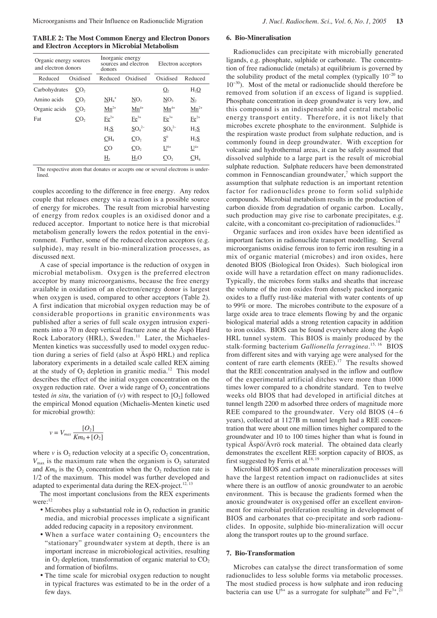**TABLE 2: The Most Common Energy and Electron Donors and Electron Acceptors in Microbial Metabolism**

| Organic energy sources<br>and electron donors |                 | Inorganic energy<br>donors | sources and electron | Electron acceptors |                   |  |
|-----------------------------------------------|-----------------|----------------------------|----------------------|--------------------|-------------------|--|
| Reduced                                       | Oxidised        | Reduced                    | Oxidised             | Oxidised           | Reduced           |  |
| Carbohydrates                                 | CO <sub>2</sub> |                            |                      | $Q_{2}$            | H <sub>2</sub> O  |  |
| Amino acids                                   | CO <sub>2</sub> | $NH_4$ <sup>+</sup>        | NO <sub>3</sub>      | NO <sub>3</sub>    | $\underline{N}_2$ |  |
| Organic acids                                 | CO <sub>2</sub> | $Mn^{2+}$                  | $Mn^{4+}$            | $Mn^{4+}$          | $Mn^{2+}$         |  |
| Fat                                           | CO <sub>2</sub> | $Fe2+$                     | $Fe3+$               | $Fe3+$             | $\text{Fe}^{2+}$  |  |
|                                               |                 | H <sub>2</sub> S           | $SO_4^{2-}$          | $SO_4^{2-}$        | H <sub>2</sub> S  |  |
|                                               |                 | CH <sub>4</sub>            | CO <sub>2</sub>      | $S^0$              | H <sub>2</sub> S  |  |
|                                               |                 | CO                         | $\mathcal{C}O_{2}$   | $U^{6+}$           | $U^{4+}$          |  |
|                                               |                 | $\underline{H}$            | H <sub>2</sub> O     | CO,                | CH <sub>4</sub>   |  |

The respective atom that donates or accepts one or several electrons is underlined.

couples according to the difference in free energy. Any redox couple that releases energy via a reaction is a possible source of energy for microbes. The result from microbial harvesting of energy from redox couples is an oxidised donor and a reduced acceptor. Important to notice here is that microbial metabolism generally lowers the redox potential in the environment. Further, some of the reduced electron acceptors (e.g. sulphide), may result in bio-mineralization processes, as discussed next.

A case of special importance is the reduction of oxygen in microbial metabolism. Oxygen is the preferred electron acceptor by many microorganisms, because the free energy available in oxidation of an electron/energy donor is largest when oxygen is used, compared to other acceptors (Table 2). A first indication that microbial oxygen reduction may be of considerable proportions in granitic environments was published after a series of full scale oxygen intrusion experiments into a 70 m deep vertical fracture zone at the Äspö Hard Rock Laboratory (HRL), Sweden.<sup>11</sup> Later, the Michaeles-Menten kinetics was successfully used to model oxygen reduction during a series of field (also at Äspö HRL) and replica laboratory experiments in a detailed scale called REX aiming at the study of  $O_2$  depletion in granitic media.<sup>12</sup> This model describes the effect of the initial oxygen concentration on the oxygen reduction rate. Over a wide range of  $O<sub>2</sub>$  concentrations tested *in situ*, the variation of  $(v)$  with respect to  $[O_2]$  followed the empirical Monod equation (Michaelis-Menten kinetic used for microbial growth):

$$
v = V_{max} \frac{[O_2]}{Km_0 + [O_2]}
$$

where  $v$  is  $O_2$  reduction velocity at a specific  $O_2$  concentration,  $V_{\text{max}}$  is the maximum rate when the organism is  $O_2$  saturated and  $Km_0$  is the  $O_2$  concentration when the  $O_2$  reduction rate is 1/2 of the maximum. This model was further developed and adapted to experimental data during the REX-project.<sup>12, 13</sup>

The most important conclusions from the REX experiments were:<sup>12</sup>

- Microbes play a substantial role in  $O<sub>2</sub>$  reduction in granitic media, and microbial processes implicate a significant added reducing capacity in a repository environment.
- When a surface water containing  $O_2$  encounters the "stationary" groundwater system at depth, there is an important increase in microbiological activities, resulting in  $O_2$  depletion, transformation of organic material to  $CO_2$ and formation of biofilms.
- The time scale for microbial oxygen reduction to nought in typical fractures was estimated to be in the order of a few days.

# **6. Bio-Mineralisation**

Radionuclides can precipitate with microbially generated ligands, e.g. phosphate, sulphide or carbonate. The concentration of free radionuclide (metals) at equilibrium is governed by the solubility product of the metal complex (typically  $10^{-20}$  to 10<sup>−</sup>30). Most of the metal or radionuclide should therefore be removed from solution if an excess of ligand is supplied. Phosphate concentration in deep groundwater is very low, and this compound is an indispensable and central metabolic energy transport entity. Therefore, it is not likely that microbes excrete phosphate to the environment. Sulphide is the respiration waste product from sulphate reduction, and is commonly found in deep groundwater. With exception for volcanic and hydrothermal areas, it can be safely assumed that dissolved sulphide to a large part is the result of microbial sulphate reduction. Sulphate reducers have been demonstrated common in Fennoscandian groundwater, $\alpha$ <sup>7</sup> which support the assumption that sulphate reduction is an important retention factor for radionuclides prone to form solid sulphide compounds. Microbial metabolism results in the production of carbon dioxide from degradation of organic carbon. Locally, such production may give rise to carbonate precipitates, e.g. calcite, with a concomitant co-precipitation of radionuclides.<sup>1</sup>

Organic surfaces and iron oxides have been identified as important factors in radionuclide transport modelling. Several microorganisms oxidise ferrous iron to ferric iron resulting in a mix of organic material (microbes) and iron oxides, here denoted BIOS (Biological Iron Oxides). Such biological iron oxide will have a retardation effect on many radionuclides. Typically, the microbes form stalks and sheaths that increase the volume of the iron oxides from densely packed inorganic oxides to a fluffy rust-like material with water contents of up to 99% or more. The microbes contribute to the exposure of a large oxide area to trace elements flowing by and the organic biological material adds a strong retention capacity in addition to iron oxides. BIOS can be found everywhere along the Äspö HRL tunnel system. This BIOS is mainly produced by the stalk-forming bacterium *Gallionella ferruginea*. 15, 16 BIOS from different sites and with varying age were analysed for the content of rare earth elements (REE).<sup>17</sup> The results showed that the REE concentration analysed in the inflow and outflow of the experimental artificial ditches were more than 1000 times lower compared to a chondrite standard. Ten to twelve weeks old BIOS that had developed in artificial ditches at tunnel length 2200 m adsorbed three orders of magnitude more REE compared to the groundwater. Very old BIOS  $(4-6)$ years), collected at 1127B m tunnel length had a REE concentration that were about one million times higher compared to the groundwater and 10 to 100 times higher than what is found in typical Äspö/Ävrö rock material. The obtained data clearly demonstrates the excellent REE sorption capacity of BIOS, as first suggested by Ferris et al. $^{18, 19}$ 

Microbial BIOS and carbonate mineralization processes will have the largest retention impact on radionuclides at sites where there is an outflow of anoxic groundwater to an aerobic environment. This is because the gradients formed when the anoxic groundwater is oxygenised offer an excellent environment for microbial proliferation resulting in development of BIOS and carbonates that co-precipitate and sorb radionuclides. In opposite, sulphide bio-mineralization will occur along the transport routes up to the ground surface.

#### **7. Bio-Transformation**

Microbes can catalyse the direct transformation of some radionuclides to less soluble forms via metabolic processes. The most studied process is how sulphate and iron reducing bacteria can use  $U^{6+}$  as a surrogate for sulphate<sup>20</sup> and  $Fe^{3+}$ ,<sup>21</sup>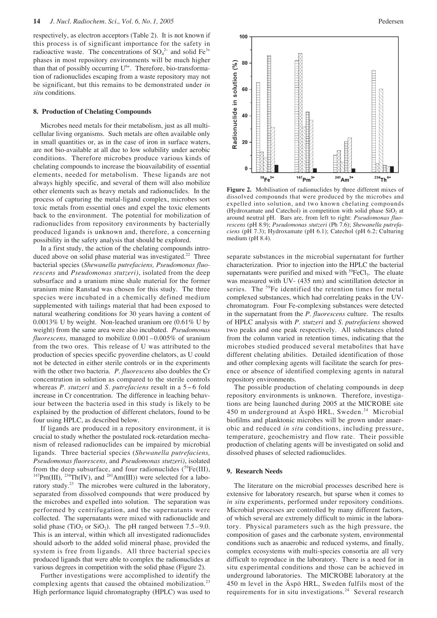respectively, as electron acceptors (Table 2). It is not known if this process is of significant importance for the safety in radioactive waste. The concentrations of  $SO_4^2$  and solid Fe<sup>3+</sup> phases in most repository environments will be much higher than that of possibly occurring  $U^{6+}$ . Therefore, bio-transformation of radionuclides escaping from a waste repository may not be significant, but this remains to be demonstrated under *in situ* conditions.

### **8. Production of Chelating Compounds**

Microbes need metals for their metabolism, just as all multicellular living organisms. Such metals are often available only in small quantities or, as in the case of iron in surface waters, are not bio-available at all due to low solubility under aerobic conditions. Therefore microbes produce various kinds of chelating compounds to increase the bioavailability of essential elements, needed for metabolism. These ligands are not always highly specific, and several of them will also mobilize other elements such as heavy metals and radionuclides. In the process of capturing the metal-ligand complex, microbes sort toxic metals from essential ones and expel the toxic elements back to the environment. The potential for mobilization of radionuclides from repository environments by bacterially produced ligands is unknown and, therefore, a concerning possibility in the safety analysis that should be explored.

In a first study, the action of the chelating compounds introduced above on solid phase material was investigated.<sup>22</sup> Three bacterial species (*Shewanella putrefaciens, Pseudomonas fluorescens* and *Pseudomonas stutzeri)*, isolated from the deep subsurface and a uranium mine shale material for the former uranium mine Ranstad was chosen for this study. The three species were incubated in a chemically defined medium supplemented with tailings material that had been exposed to natural weathering conditions for 30 years having a content of 0.0013% U by weight. Non-leached uranium ore (0.61% U by weight) from the same area were also incubated. *Pseudomonas fluorescens,* managed to mobilize 0.001 – 0.005% of uranium from the two ores. This release of U was attributed to the production of species specific pyoverdine chelators, as U could not be detected in either sterile controls or in the experiments with the other two bacteria. *P. fluorescens* also doubles the Cr concentration in solution as compared to the sterile controls whereas *P. stutzeri* and *S. putrefaciens* result in a 5 − 6 fold increase in Cr concentration. The difference in leaching behaviour between the bacteria used in this study is likely to be explained by the production of different chelators, found to be four using HPLC, as described below.

If ligands are produced in a repository environment, it is crucial to study whether the postulated rock-retardation mechanism of released radionuclides can be impaired by microbial ligands. Three bacterial species (*Shewanella putrefaciens, Pseudomonas fluorescens,* and *Pseudomonas stutzeri)*, isolated from the deep subsurface, and four radionuclides  $(^{59}Fe(HI),$  $147$ Pm(III),  $234$ Th(IV), and  $241$ Am(III)) were selected for a laboratory study. $^{23}$  The microbes were cultured in the laboratory, separated from dissolved compounds that were produced by the microbes and expelled into solution. The separation was performed by centrifugation, and the supernatants were collected. The supernatants were mixed with radionuclide and solid phase (TiO<sub>2</sub> or SiO<sub>2</sub>). The pH ranged between  $7.5-9.0$ . This is an interval, within which all investigated radionuclides should adsorb to the added solid mineral phase, provided the system is free from ligands. All three bacterial species produced ligands that were able to complex the radionuclides at various degrees in competition with the solid phase (Figure 2).

Further investigations were accomplished to identify the complexing agents that caused the obtained mobilization.<sup>23</sup> High performance liquid chromatography (HPLC) was used to



**Figure 2.** Mobilisation of radionuclides by three different mixes of dissolved compounds that were produced by the microbes and expelled into solution, and two known chelating compounds (Hydroxamate and Catechol) in competition with solid phase  $SiO<sub>2</sub>$  at around neutral pH. Bars are, from left to right: *Pseudomonas fluorescens* (pH 8.9); *Pseudomonas stutzeri* (Ph 7.6); *Shewanella putrefaciens* (pH 7.3); Hydroxamate (pH 6.1); Catechol (pH 6.2; Culturing medium (pH 8.4).

separate substances in the microbial supernatant for further characterization. Prior to injection into the HPLC the bacterial supernatants were purified and mixed with  ${}^{59}FeCl_3$ . The eluate was measured with UV- (435 nm) and scintillation detector in series. The <sup>59</sup>Fe identified the retention times for metal complexed substances, which had correlating peaks in the UVchromatogram. Four Fe-complexing substances were detected in the supernatant from the *P. fluorescens* culture. The results of HPLC analysis with *P. stutzeri* and *S. putrefaciens* showed two peaks and one peak respectively. All substances eluted from the column varied in retention times, indicating that the microbes studied produced several metabolites that have different chelating abilities. Detailed identification of those and other complexing agents will facilitate the search for presence or absence of identified complexing agents in natural repository environments.

The possible production of chelating compounds in deep repository environments is unknown. Therefore, investigations are being launched during 2005 at the MICROBE site 450 m underground at Äspö HRL, Sweden.<sup>24</sup> Microbial biofilms and planktonic microbes will be grown under anaerobic and reduced *in situ* conditions, including pressure, temperature, geochemistry and flow rate. Their possible production of chelating agents will be investigated on solid and dissolved phases of selected radionuclides.

### **9. Research Needs**

The literature on the microbial processes described here is extensive for laboratory research, but sparse when it comes to *in situ* experiments, performed under repository conditions. Microbial processes are controlled by many different factors, of which several are extremely difficult to mimic in the laboratory. Physical parameters such as the high pressure, the composition of gases and the carbonate system, environmental conditions such as anaerobic and reduced systems, and finally, complex ecosystems with multi-species consortia are all very difficult to reproduce in the laboratory. There is a need for in situ experimental conditions and those can be achieved in underground laboratories. The MICROBE laboratory at the 450 m level in the Äspö HRL, Sweden fulfils most of the requirements for in situ investigations.<sup>24</sup> Several research